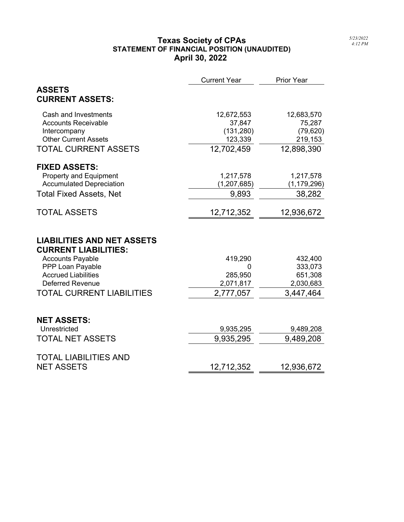## **Texas Society of CPAs STATEMENT OF FINANCIAL POSITION (UNAUDITED) April 30, 2022**

|                                                                  | <b>Current Year</b> | <b>Prior Year</b> |  |
|------------------------------------------------------------------|---------------------|-------------------|--|
| <b>ASSETS</b>                                                    |                     |                   |  |
| <b>CURRENT ASSETS:</b>                                           |                     |                   |  |
| Cash and Investments                                             | 12,672,553          | 12,683,570        |  |
| <b>Accounts Receivable</b>                                       | 37,847              | 75,287            |  |
| Intercompany                                                     | (131, 280)          | (79, 620)         |  |
| <b>Other Current Assets</b>                                      | 123,339             | 219,153           |  |
| <b>TOTAL CURRENT ASSETS</b>                                      | 12,702,459          | 12,898,390        |  |
| <b>FIXED ASSETS:</b>                                             |                     |                   |  |
| <b>Property and Equipment</b>                                    | 1,217,578           | 1,217,578         |  |
| <b>Accumulated Depreciation</b>                                  | (1, 207, 685)       | (1, 179, 296)     |  |
| <b>Total Fixed Assets, Net</b>                                   | 9,893               | 38,282            |  |
| <b>TOTAL ASSETS</b>                                              | 12,712,352          | 12,936,672        |  |
| <b>LIABILITIES AND NET ASSETS</b><br><b>CURRENT LIABILITIES:</b> |                     |                   |  |
| <b>Accounts Payable</b>                                          | 419,290             | 432,400           |  |
| PPP Loan Payable                                                 |                     | 333,073           |  |
| <b>Accrued Liabilities</b>                                       | 285,950             | 651,308           |  |
| <b>Deferred Revenue</b>                                          | 2,071,817           | 2,030,683         |  |
| <b>TOTAL CURRENT LIABILITIES</b>                                 | 2,777,057           | 3,447,464         |  |
| <b>NET ASSETS:</b>                                               |                     |                   |  |
| Unrestricted                                                     | 9,935,295           | 9,489,208         |  |
| <b>TOTAL NET ASSETS</b>                                          | 9,935,295           | 9,489,208         |  |
| <b>TOTAL LIABILITIES AND</b>                                     |                     |                   |  |
| <b>NET ASSETS</b>                                                | 12,712,352          | 12,936,672        |  |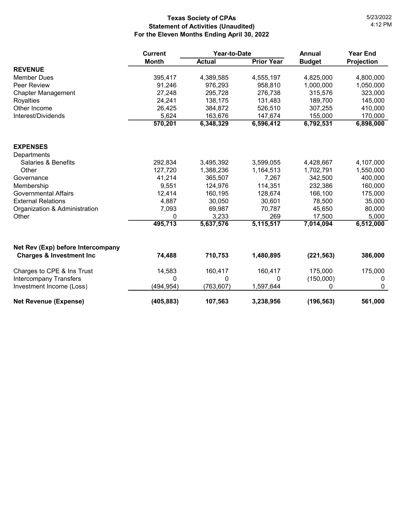## **Texas Society of CPAs Statement of Activities (Unaudited) For the Eleven Months Ending April 30, 2022**

|                                     | Year-to-Date<br><b>Current</b> |               |                   | <b>Annual</b> | <b>Year End</b>   |
|-------------------------------------|--------------------------------|---------------|-------------------|---------------|-------------------|
|                                     | <b>Month</b>                   | <b>Actual</b> | <b>Prior Year</b> | <b>Budget</b> | <b>Projection</b> |
| <b>REVENUE</b>                      |                                |               |                   |               |                   |
| <b>Member Dues</b>                  | 395,417                        | 4,389,585     | 4,555,197         | 4,825,000     | 4,800,000         |
| Peer Review                         | 91,246                         | 976,293       | 958,810           | 1,000,000     | 1,050,000         |
| <b>Chapter Management</b>           | 27,248                         | 295,728       | 276,738           | 315,576       | 323,000           |
| Royalties                           | 24,241                         | 138,175       | 131,483           | 189,700       | 145,000           |
| Other Income                        | 26,425                         | 384,872       | 526,510           | 307,255       | 410,000           |
| Interest/Dividends                  | 5,624                          | 163,676       | 147,674           | 155,000       | 170,000           |
|                                     | 570,201                        | 6,348,329     | 6,596,412         | 6,792,531     | 6,898,000         |
| <b>EXPENSES</b>                     |                                |               |                   |               |                   |
| Departments                         |                                |               |                   |               |                   |
| <b>Salaries &amp; Benefits</b>      | 292,834                        | 3,495,392     | 3,599,055         | 4,428,667     | 4,107,000         |
| Other                               | 127,720                        | 1,388,236     | 1,164,513         | 1,702,791     | 1,550,000         |
| Governance                          | 41,214                         | 365,507       | 7,267             | 342,500       | 400,000           |
| Membership                          | 9,551                          | 124,976       | 114,351           | 232,386       | 160,000           |
| <b>Governmental Affairs</b>         | 12,414                         | 160,195       | 128,674           | 166,100       | 175,000           |
| <b>External Relations</b>           | 4,887                          | 30,050        | 30,601            | 78,500        | 35,000            |
| Organization & Administration       | 7,093                          | 69,987        | 70,787            | 45,650        | 80,000            |
| Other                               | 0                              | 3,233         | 269               | 17,500        | 5,000             |
|                                     | 495,713                        | 5,637,576     | 5,115,517         | 7,014,094     | 6,512,000         |
| Net Rev (Exp) before Intercompany   |                                |               |                   |               |                   |
| <b>Charges &amp; Investment Inc</b> | 74,488                         | 710,753       | 1,480,895         | (221, 563)    | 386,000           |
| Charges to CPE & Ins Trust          | 14,583                         | 160,417       | 160,417           | 175,000       | 175,000           |
| <b>Intercompany Transfers</b>       | $\Omega$                       | 0             | 0                 | (150,000)     | 0                 |
| Investment Income (Loss)            | (494, 954)                     | (763, 607)    | 1,597,644         | 0             | 0                 |
| <b>Net Revenue (Expense)</b>        | (405, 883)                     | 107,563       | 3,238,956         | (196, 563)    | 561,000           |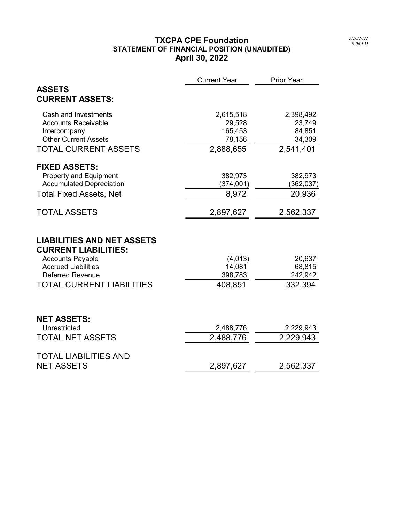## TXCPA CPE Foundation STATEMENT OF FINANCIAL POSITION (UNAUDITED) April 30, 2022

|                                                                  | <b>Current Year</b> | Prior Year |
|------------------------------------------------------------------|---------------------|------------|
| <b>ASSETS</b><br><b>CURRENT ASSETS:</b>                          |                     |            |
| Cash and Investments                                             | 2,615,518           | 2,398,492  |
| <b>Accounts Receivable</b>                                       | 29,528              | 23,749     |
| Intercompany                                                     | 165,453             | 84,851     |
| <b>Other Current Assets</b>                                      | 78,156              | 34,309     |
| <b>TOTAL CURRENT ASSETS</b>                                      | 2,888,655           | 2,541,401  |
| <b>FIXED ASSETS:</b>                                             |                     |            |
| <b>Property and Equipment</b>                                    | 382,973             | 382,973    |
| <b>Accumulated Depreciation</b>                                  | (374,001)           | (362,037)  |
| <b>Total Fixed Assets, Net</b>                                   | 8,972               | 20,936     |
| <b>TOTAL ASSETS</b>                                              | 2,897,627           | 2,562,337  |
| <b>LIABILITIES AND NET ASSETS</b><br><b>CURRENT LIABILITIES:</b> |                     |            |
| <b>Accounts Payable</b>                                          | (4,013)             | 20,637     |
| <b>Accrued Liabilities</b>                                       | 14,081              | 68,815     |
| <b>Deferred Revenue</b>                                          | 398,783             | 242,942    |
| <b>TOTAL CURRENT LIABILITIES</b>                                 | 408,851             | 332,394    |
|                                                                  |                     |            |
| <b>NET ASSETS:</b>                                               |                     |            |
| Unrestricted                                                     | 2,488,776           | 2,229,943  |
| <b>TOTAL NET ASSETS</b>                                          | 2,488,776           | 2,229,943  |
| <b>TOTAL LIABILITIES AND</b>                                     |                     |            |
| <b>NET ASSETS</b>                                                | 2,897,627           | 2,562,337  |
|                                                                  |                     |            |